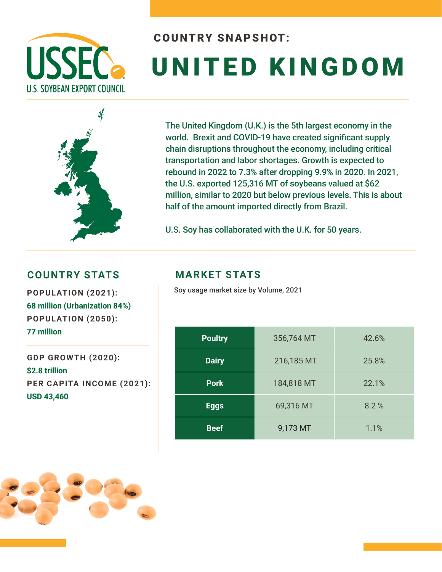

# COUNTRY SNAPSHOT: UNITED KINGDOM



The United Kingdom (U.K.) is the 5th largest economy in the world. Brexit and COVID-19 have created significant supply chain disruptions throughout the economy, including critical transportation and labor shortages. Growth is expected to rebound in 2022 to 7.3% after dropping 9.9% in 2020. In 2021, the U.S. exported 125,316 MT of soybeans valued at \$62 million, similar to 2020 but below previous levels. This is about half of the amount imported directly from Brazil.

U.S. Soy has collaborated with the U.K. for 50 years.

#### **COUNTRY STATS MARKET STATS**

**68 million (Urbanization 84%) POPULATION (2050): 77 million** 

**GDP GROWTH (2020): \$2.8 trillion PER CAPITA INCOME (2021): USD 43,460**

Soy usage market size by Volume, 2021 **POPULATION (2021):** 

| <b>Poultry</b> | 356,764 MT | 42.6% |  |  |
|----------------|------------|-------|--|--|
| <b>Dairy</b>   | 216,185 MT | 25.8% |  |  |
| <b>Pork</b>    | 184,818 MT | 22.1% |  |  |
| <b>Eggs</b>    | 69,316 MT  | 8.2%  |  |  |
| <b>Beef</b>    | 9,173 MT   | 1.1%  |  |  |